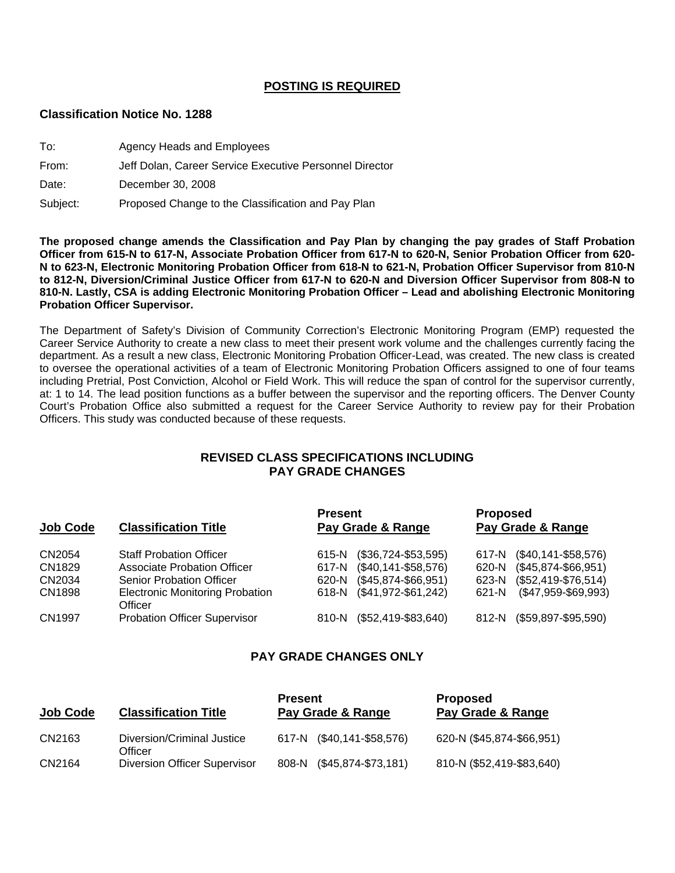### **POSTING IS REQUIRED**

#### **Classification Notice No. 1288**

| To:      | Agency Heads and Employees                              |
|----------|---------------------------------------------------------|
| From:    | Jeff Dolan, Career Service Executive Personnel Director |
| Date:    | December 30, 2008                                       |
| Subject: | Proposed Change to the Classification and Pay Plan      |

**The proposed change amends the Classification and Pay Plan by changing the pay grades of Staff Probation Officer from 615-N to 617-N, Associate Probation Officer from 617-N to 620-N, Senior Probation Officer from 620- N to 623-N, Electronic Monitoring Probation Officer from 618-N to 621-N, Probation Officer Supervisor from 810-N to 812-N, Diversion/Criminal Justice Officer from 617-N to 620-N and Diversion Officer Supervisor from 808-N to 810-N. Lastly, CSA is adding Electronic Monitoring Probation Officer – Lead and abolishing Electronic Monitoring Probation Officer Supervisor.** 

The Department of Safety's Division of Community Correction's Electronic Monitoring Program (EMP) requested the Career Service Authority to create a new class to meet their present work volume and the challenges currently facing the department. As a result a new class, Electronic Monitoring Probation Officer-Lead, was created. The new class is created to oversee the operational activities of a team of Electronic Monitoring Probation Officers assigned to one of four teams including Pretrial, Post Conviction, Alcohol or Field Work. This will reduce the span of control for the supervisor currently, at: 1 to 14. The lead position functions as a buffer between the supervisor and the reporting officers. The Denver County Court's Probation Office also submitted a request for the Career Service Authority to review pay for their Probation Officers. This study was conducted because of these requests.

### **REVISED CLASS SPECIFICATIONS INCLUDING PAY GRADE CHANGES**

| <b>Job Code</b> | <b>Classification Title</b>                       | <b>Present</b><br>Pay Grade & Range | <b>Proposed</b><br>Pay Grade & Range |
|-----------------|---------------------------------------------------|-------------------------------------|--------------------------------------|
| CN2054          | <b>Staff Probation Officer</b>                    | $($36,724-$53,595)$<br>615-N        | $($40,141 - $58,576)$<br>617-N       |
| CN1829          | <b>Associate Probation Officer</b>                | $($40,141 - $58,576)$<br>617-N      | $($45,874-$66,951)$<br>620-N         |
| CN2034          | <b>Senior Probation Officer</b>                   | $($45,874-$66,951)$<br>620-N        | $($52,419-$76,514)$<br>623-N         |
| CN1898          | <b>Electronic Monitoring Probation</b><br>Officer | 618-N (\$41,972-\$61,242)           | $($47,959-$69,993)$<br>621-N         |
| <b>CN1997</b>   | <b>Probation Officer Supervisor</b>               | $($52,419-$83,640)$<br>810-N        | $($59,897 - $95,590)$<br>812-N       |

# **PAY GRADE CHANGES ONLY**

| <b>Job Code</b> | <b>Classification Title</b>           | <b>Present</b><br>Pay Grade & Range | <b>Proposed</b><br>Pay Grade & Range |
|-----------------|---------------------------------------|-------------------------------------|--------------------------------------|
| CN2163          | Diversion/Criminal Justice<br>Officer | 617-N (\$40,141-\$58,576)           | 620-N (\$45,874-\$66,951)            |
| CN2164          | <b>Diversion Officer Supervisor</b>   | $($45,874-$73,181)$<br>808-N        | 810-N (\$52,419-\$83,640)            |